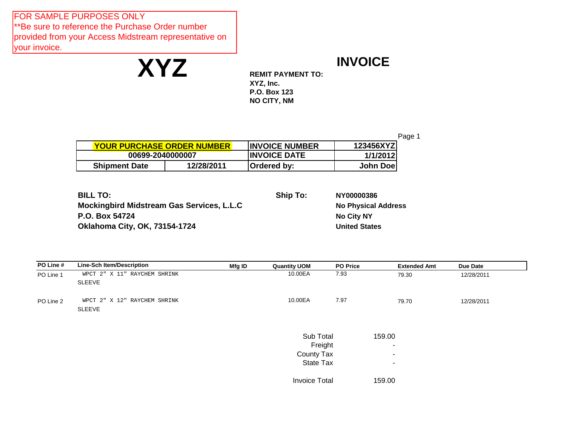FOR SAMPLE PURPOSES ONLY \*\*Be sure to reference the Purchase Order number provided from your Access Midstream representative on your invoice.

**XYZ**

## **INVOICE**

**REMIT PAYMENT TO: XYZ, Inc. P.O. Box 123 NO CITY, NM** 

Page 1 **INVOICE NUMBER 123456XYZ INVOICE DATE 1/1/2012 Shipment Date 12/28/2011 Ordered by: John Doe YOUR PURCHASE ORDER NUMBER 00699-2040000007**

| <b>BILL TO:</b>                           | Ship To: | NY00000386                 |
|-------------------------------------------|----------|----------------------------|
| Mockingbird Midstream Gas Services, L.L.C |          | <b>No Physical Address</b> |
| P.O. Box 54724                            |          | <b>No City NY</b>          |
| <b>Oklahoma City, OK, 73154-1724</b>      |          | <b>United States</b>       |

| PO Line # | <b>Line-Sch Item/Description</b>              | Mfg ID | <b>Quantity UOM</b>  | <b>PO Price</b> | <b>Extended Amt</b>      | Due Date   |  |
|-----------|-----------------------------------------------|--------|----------------------|-----------------|--------------------------|------------|--|
| PO Line 1 | WPCT 2" X 11" RAYCHEM SHRINK<br><b>SLEEVE</b> |        | 10.00EA              | 7.93            | 79.30                    | 12/28/2011 |  |
| PO Line 2 | WPCT 2" X 12" RAYCHEM SHRINK                  |        | 10.00EA              | 7.97            | 79.70                    | 12/28/2011 |  |
|           | SLEEVE                                        |        |                      |                 |                          |            |  |
|           |                                               |        | Sub Total            |                 | 159.00                   |            |  |
|           |                                               |        | Freight              |                 | $\overline{\phantom{a}}$ |            |  |
|           |                                               |        | County Tax           |                 | $\overline{\phantom{a}}$ |            |  |
|           |                                               |        | State Tax            |                 | $\sim$                   |            |  |
|           |                                               |        | <b>Invoice Total</b> |                 | 159.00                   |            |  |